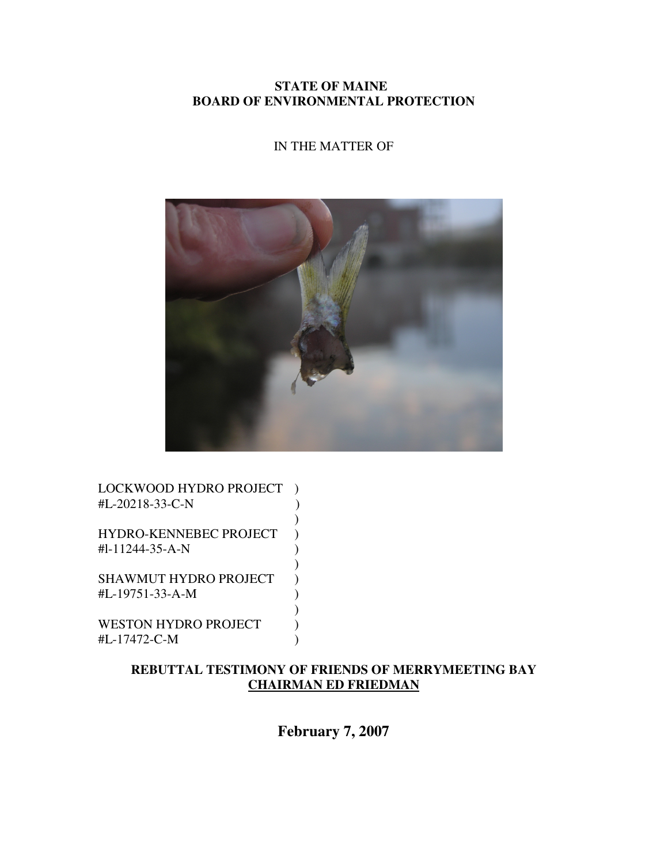**STATE OF MAINE BOARD OF ENVIRONMENTAL PROTECTION** 

# IN THE MATTER OF



LOCKWOOD HYDRO PROJECT ) #L-20218-33-C-N )  $)$ HYDRO-KENNEBEC PROJECT ) #l-11244-35-A-N )  $)$ SHAWMUT HYDRO PROJECT ) #L-19751-33-A-M )  $)$ 

WESTON HYDRO PROJECT #L-17472-C-M )

# **REBUTTAL TESTIMONY OF FRIENDS OF MERRYMEETING BAY CHAIRMAN ED FRIEDMAN**

**February 7, 2007**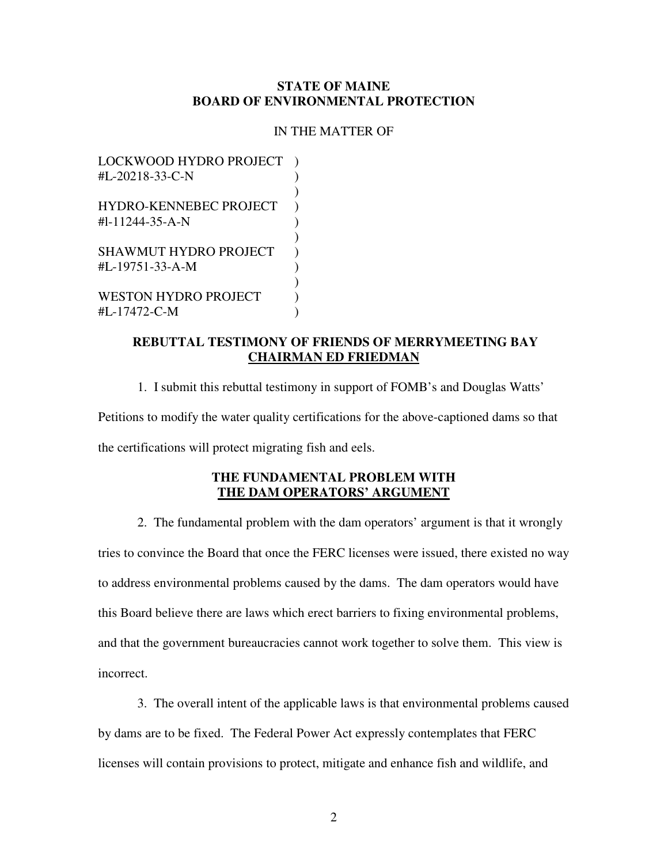### **STATE OF MAINE BOARD OF ENVIRONMENTAL PROTECTION**

#### IN THE MATTER OF

LOCKWOOD HYDRO PROJECT  $\text{HL}-20218-33-C-N$  )  $)$ HYDRO-KENNEBEC PROJECT )  $\text{H1-11244-35-A-N}$  )  $)$ SHAWMUT HYDRO PROJECT )  $\text{HL}-19751-33-A-M$  )  $)$ WESTON HYDRO PROJECT  $\qquad$ ) #L-17472-C-M )

# **REBUTTAL TESTIMONY OF FRIENDS OF MERRYMEETING BAY CHAIRMAN ED FRIEDMAN**

 1. I submit this rebuttal testimony in support of FOMB's and Douglas Watts' Petitions to modify the water quality certifications for the above-captioned dams so that the certifications will protect migrating fish and eels.

# **THE FUNDAMENTAL PROBLEM WITH THE DAM OPERATORS' ARGUMENT**

 2. The fundamental problem with the dam operators' argument is that it wrongly tries to convince the Board that once the FERC licenses were issued, there existed no way to address environmental problems caused by the dams. The dam operators would have this Board believe there are laws which erect barriers to fixing environmental problems, and that the government bureaucracies cannot work together to solve them. This view is incorrect.

 3. The overall intent of the applicable laws is that environmental problems caused by dams are to be fixed. The Federal Power Act expressly contemplates that FERC licenses will contain provisions to protect, mitigate and enhance fish and wildlife, and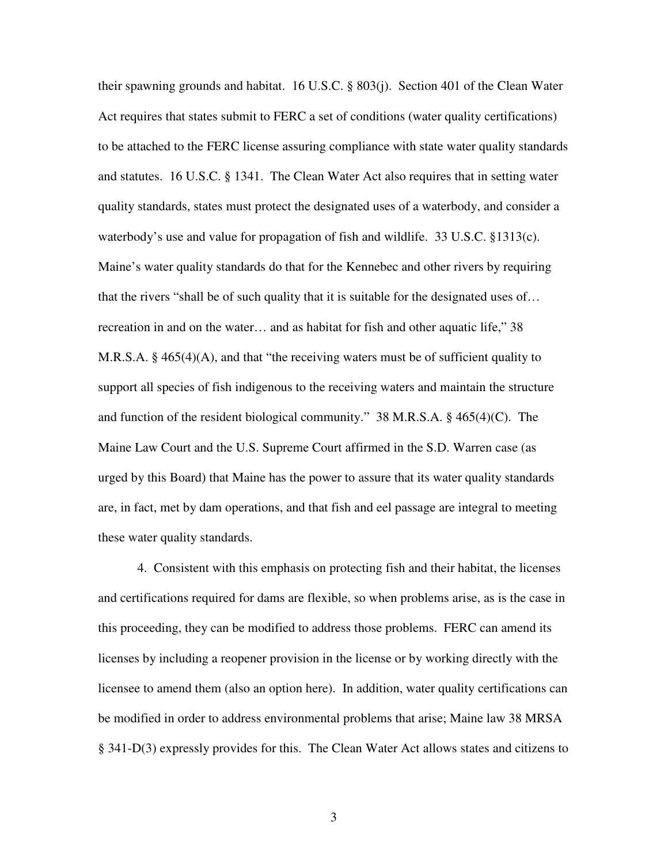their spawning grounds and habitat. 16 U.S.C. § 803(j). Section 401 of the Clean Water Act requires that states submit to FERC a set of conditions (water quality certifications) to be attached to the FERC license assuring compliance with state water quality standards and statutes. 16 U.S.C. § 1341. The Clean Water Act also requires that in setting water quality standards, states must protect the designated uses of a waterbody, and consider a waterbody's use and value for propagation of fish and wildlife. 33 U.S.C. §1313(c). Maine's water quality standards do that for the Kennebec and other rivers by requiring that the rivers "shall be of such quality that it is suitable for the designated uses of… recreation in and on the water… and as habitat for fish and other aquatic life," 38 M.R.S.A. § 465(4)(A), and that "the receiving waters must be of sufficient quality to support all species of fish indigenous to the receiving waters and maintain the structure and function of the resident biological community." 38 M.R.S.A. § 465(4)(C). The Maine Law Court and the U.S. Supreme Court affirmed in the S.D. Warren case (as urged by this Board) that Maine has the power to assure that its water quality standards are, in fact, met by dam operations, and that fish and eel passage are integral to meeting these water quality standards.

4. Consistent with this emphasis on protecting fish and their habitat, the licenses and certifications required for dams are flexible, so when problems arise, as is the case in this proceeding, they can be modified to address those problems. FERC can amend its licenses by including a reopener provision in the license or by working directly with the licensee to amend them (also an option here). In addition, water quality certifications can be modified in order to address environmental problems that arise; Maine law 38 MRSA § 341-D(3) expressly provides for this. The Clean Water Act allows states and citizens to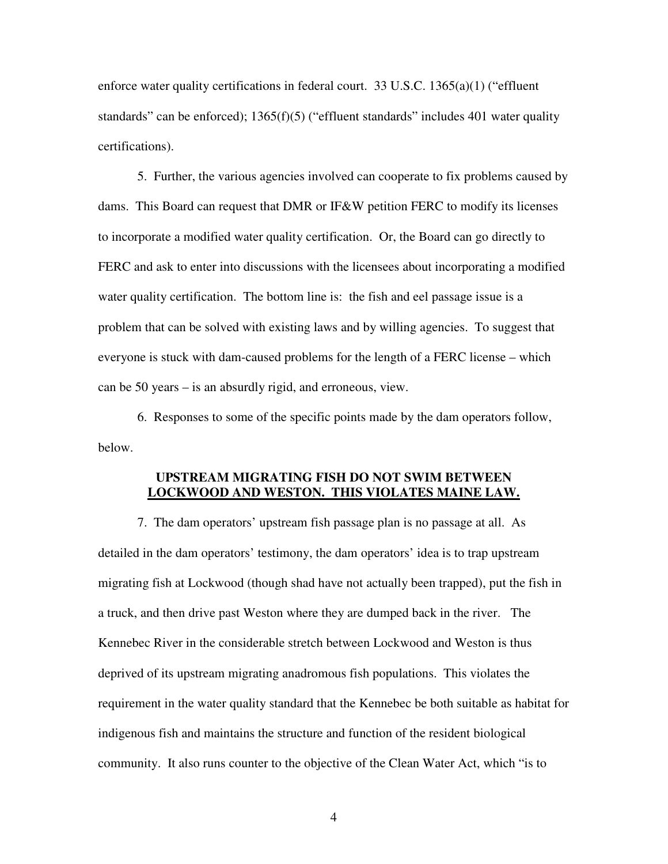enforce water quality certifications in federal court. 33 U.S.C. 1365(a)(1) ("effluent standards" can be enforced);  $1365(f)(5)$  ("effluent standards" includes 401 water quality certifications).

5. Further, the various agencies involved can cooperate to fix problems caused by dams. This Board can request that DMR or IF&W petition FERC to modify its licenses to incorporate a modified water quality certification. Or, the Board can go directly to FERC and ask to enter into discussions with the licensees about incorporating a modified water quality certification. The bottom line is: the fish and eel passage issue is a problem that can be solved with existing laws and by willing agencies. To suggest that everyone is stuck with dam-caused problems for the length of a FERC license – which can be 50 years – is an absurdly rigid, and erroneous, view.

6. Responses to some of the specific points made by the dam operators follow, below.

# **UPSTREAM MIGRATING FISH DO NOT SWIM BETWEEN LOCKWOOD AND WESTON. THIS VIOLATES MAINE LAW.**

 7. The dam operators' upstream fish passage plan is no passage at all. As detailed in the dam operators' testimony, the dam operators' idea is to trap upstream migrating fish at Lockwood (though shad have not actually been trapped), put the fish in a truck, and then drive past Weston where they are dumped back in the river. The Kennebec River in the considerable stretch between Lockwood and Weston is thus deprived of its upstream migrating anadromous fish populations. This violates the requirement in the water quality standard that the Kennebec be both suitable as habitat for indigenous fish and maintains the structure and function of the resident biological community. It also runs counter to the objective of the Clean Water Act, which "is to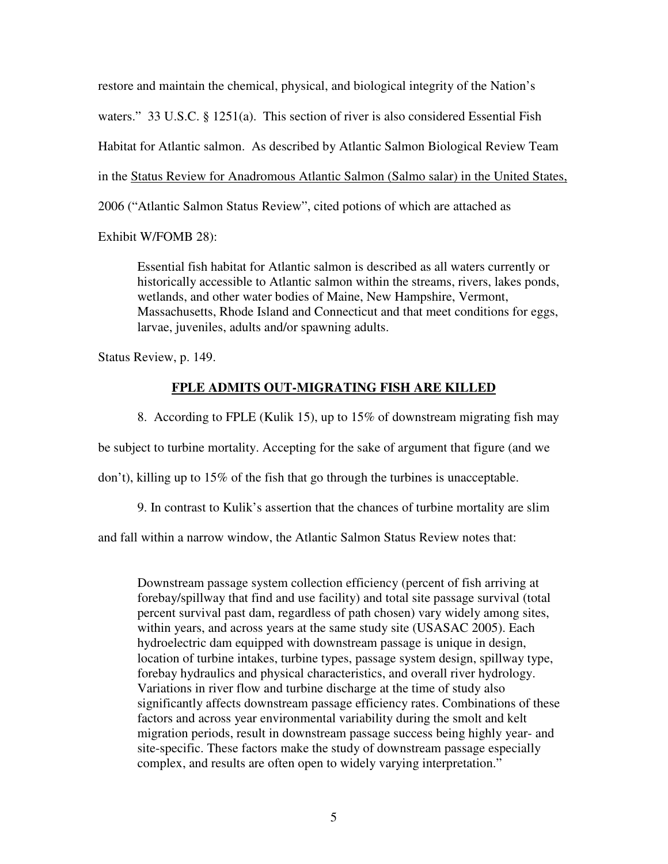restore and maintain the chemical, physical, and biological integrity of the Nation's waters." 33 U.S.C. § 1251(a). This section of river is also considered Essential Fish Habitat for Atlantic salmon. As described by Atlantic Salmon Biological Review Team in the Status Review for Anadromous Atlantic Salmon (Salmo salar) in the United States, 2006 ("Atlantic Salmon Status Review", cited potions of which are attached as

Exhibit W/FOMB 28):

Essential fish habitat for Atlantic salmon is described as all waters currently or historically accessible to Atlantic salmon within the streams, rivers, lakes ponds, wetlands, and other water bodies of Maine, New Hampshire, Vermont, Massachusetts, Rhode Island and Connecticut and that meet conditions for eggs, larvae, juveniles, adults and/or spawning adults.

Status Review, p. 149.

# **FPLE ADMITS OUT-MIGRATING FISH ARE KILLED**

8. According to FPLE (Kulik 15), up to 15% of downstream migrating fish may

be subject to turbine mortality. Accepting for the sake of argument that figure (and we

don't), killing up to 15% of the fish that go through the turbines is unacceptable.

9. In contrast to Kulik's assertion that the chances of turbine mortality are slim

and fall within a narrow window, the Atlantic Salmon Status Review notes that:

Downstream passage system collection efficiency (percent of fish arriving at forebay/spillway that find and use facility) and total site passage survival (total percent survival past dam, regardless of path chosen) vary widely among sites, within years, and across years at the same study site (USASAC 2005). Each hydroelectric dam equipped with downstream passage is unique in design, location of turbine intakes, turbine types, passage system design, spillway type, forebay hydraulics and physical characteristics, and overall river hydrology. Variations in river flow and turbine discharge at the time of study also significantly affects downstream passage efficiency rates. Combinations of these factors and across year environmental variability during the smolt and kelt migration periods, result in downstream passage success being highly year- and site-specific. These factors make the study of downstream passage especially complex, and results are often open to widely varying interpretation."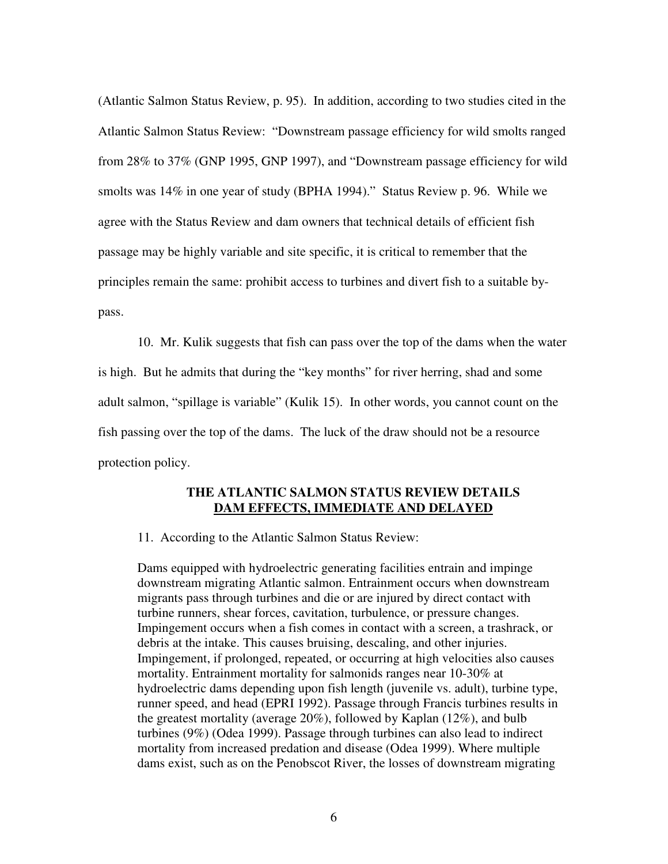(Atlantic Salmon Status Review, p. 95). In addition, according to two studies cited in the Atlantic Salmon Status Review: "Downstream passage efficiency for wild smolts ranged from 28% to 37% (GNP 1995, GNP 1997), and "Downstream passage efficiency for wild smolts was 14% in one year of study (BPHA 1994)." Status Review p. 96. While we agree with the Status Review and dam owners that technical details of efficient fish passage may be highly variable and site specific, it is critical to remember that the principles remain the same: prohibit access to turbines and divert fish to a suitable bypass.

10. Mr. Kulik suggests that fish can pass over the top of the dams when the water is high. But he admits that during the "key months" for river herring, shad and some adult salmon, "spillage is variable" (Kulik 15). In other words, you cannot count on the fish passing over the top of the dams. The luck of the draw should not be a resource protection policy.

#### **THE ATLANTIC SALMON STATUS REVIEW DETAILS DAM EFFECTS, IMMEDIATE AND DELAYED**

11. According to the Atlantic Salmon Status Review:

Dams equipped with hydroelectric generating facilities entrain and impinge downstream migrating Atlantic salmon. Entrainment occurs when downstream migrants pass through turbines and die or are injured by direct contact with turbine runners, shear forces, cavitation, turbulence, or pressure changes. Impingement occurs when a fish comes in contact with a screen, a trashrack, or debris at the intake. This causes bruising, descaling, and other injuries. Impingement, if prolonged, repeated, or occurring at high velocities also causes mortality. Entrainment mortality for salmonids ranges near 10-30% at hydroelectric dams depending upon fish length (juvenile vs. adult), turbine type, runner speed, and head (EPRI 1992). Passage through Francis turbines results in the greatest mortality (average 20%), followed by Kaplan (12%), and bulb turbines (9%) (Odea 1999). Passage through turbines can also lead to indirect mortality from increased predation and disease (Odea 1999). Where multiple dams exist, such as on the Penobscot River, the losses of downstream migrating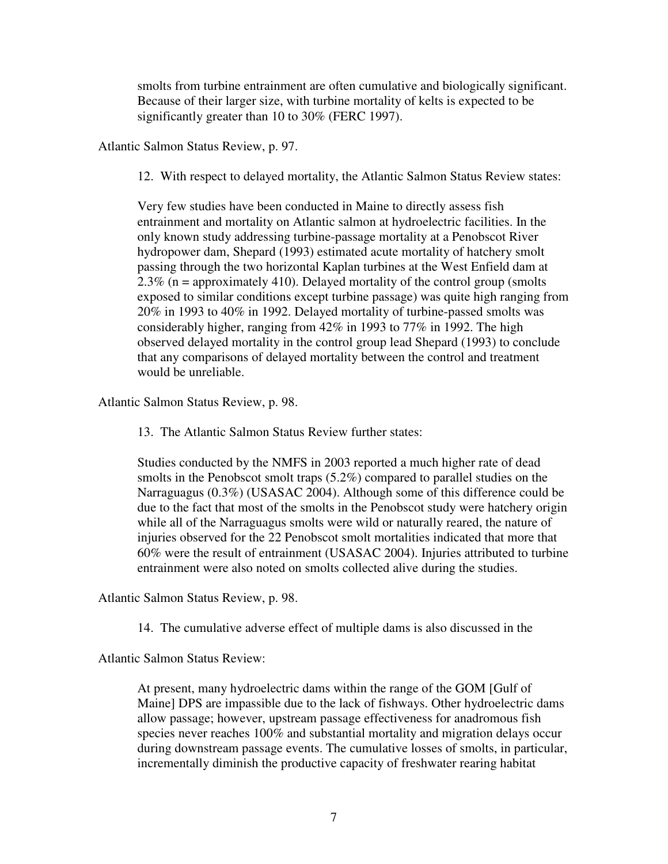smolts from turbine entrainment are often cumulative and biologically significant. Because of their larger size, with turbine mortality of kelts is expected to be significantly greater than 10 to 30% (FERC 1997).

Atlantic Salmon Status Review, p. 97.

12. With respect to delayed mortality, the Atlantic Salmon Status Review states:

Very few studies have been conducted in Maine to directly assess fish entrainment and mortality on Atlantic salmon at hydroelectric facilities. In the only known study addressing turbine-passage mortality at a Penobscot River hydropower dam, Shepard (1993) estimated acute mortality of hatchery smolt passing through the two horizontal Kaplan turbines at the West Enfield dam at 2.3% ( $n =$  approximately 410). Delayed mortality of the control group (smolts exposed to similar conditions except turbine passage) was quite high ranging from 20% in 1993 to 40% in 1992. Delayed mortality of turbine-passed smolts was considerably higher, ranging from 42% in 1993 to 77% in 1992. The high observed delayed mortality in the control group lead Shepard (1993) to conclude that any comparisons of delayed mortality between the control and treatment would be unreliable.

Atlantic Salmon Status Review, p. 98.

13. The Atlantic Salmon Status Review further states:

Studies conducted by the NMFS in 2003 reported a much higher rate of dead smolts in the Penobscot smolt traps  $(5.2\%)$  compared to parallel studies on the Narraguagus (0.3%) (USASAC 2004). Although some of this difference could be due to the fact that most of the smolts in the Penobscot study were hatchery origin while all of the Narraguagus smolts were wild or naturally reared, the nature of injuries observed for the 22 Penobscot smolt mortalities indicated that more that 60% were the result of entrainment (USASAC 2004). Injuries attributed to turbine entrainment were also noted on smolts collected alive during the studies.

Atlantic Salmon Status Review, p. 98.

14. The cumulative adverse effect of multiple dams is also discussed in the

Atlantic Salmon Status Review:

At present, many hydroelectric dams within the range of the GOM [Gulf of Maine] DPS are impassible due to the lack of fishways. Other hydroelectric dams allow passage; however, upstream passage effectiveness for anadromous fish species never reaches 100% and substantial mortality and migration delays occur during downstream passage events. The cumulative losses of smolts, in particular, incrementally diminish the productive capacity of freshwater rearing habitat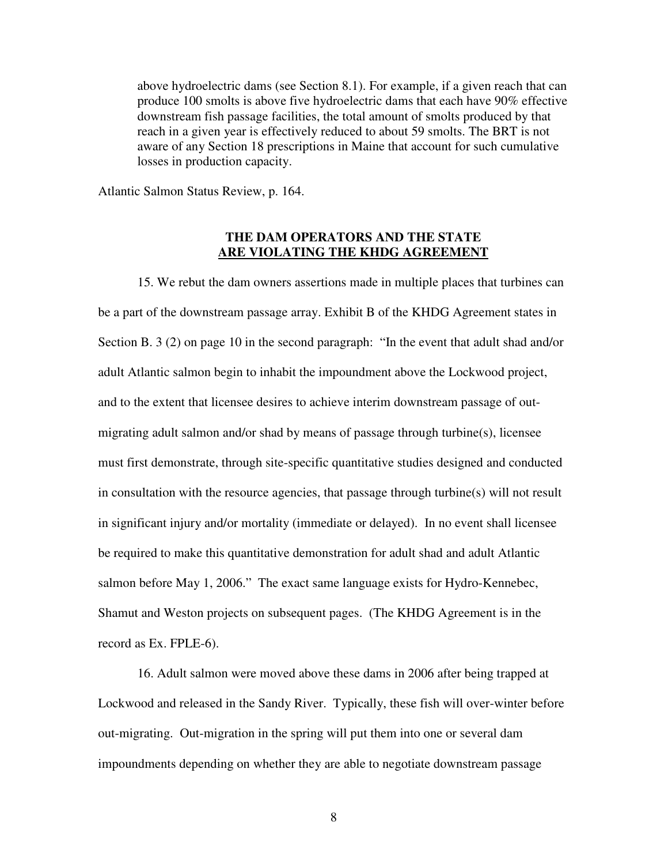above hydroelectric dams (see Section 8.1). For example, if a given reach that can produce 100 smolts is above five hydroelectric dams that each have 90% effective downstream fish passage facilities, the total amount of smolts produced by that reach in a given year is effectively reduced to about 59 smolts. The BRT is not aware of any Section 18 prescriptions in Maine that account for such cumulative losses in production capacity.

Atlantic Salmon Status Review, p. 164.

### **THE DAM OPERATORS AND THE STATE ARE VIOLATING THE KHDG AGREEMENT**

15. We rebut the dam owners assertions made in multiple places that turbines can be a part of the downstream passage array. Exhibit B of the KHDG Agreement states in Section B. 3 (2) on page 10 in the second paragraph: "In the event that adult shad and/or adult Atlantic salmon begin to inhabit the impoundment above the Lockwood project, and to the extent that licensee desires to achieve interim downstream passage of outmigrating adult salmon and/or shad by means of passage through turbine(s), licensee must first demonstrate, through site-specific quantitative studies designed and conducted in consultation with the resource agencies, that passage through turbine(s) will not result in significant injury and/or mortality (immediate or delayed). In no event shall licensee be required to make this quantitative demonstration for adult shad and adult Atlantic salmon before May 1, 2006." The exact same language exists for Hydro-Kennebec, Shamut and Weston projects on subsequent pages. (The KHDG Agreement is in the record as Ex. FPLE-6).

16. Adult salmon were moved above these dams in 2006 after being trapped at Lockwood and released in the Sandy River. Typically, these fish will over-winter before out-migrating. Out-migration in the spring will put them into one or several dam impoundments depending on whether they are able to negotiate downstream passage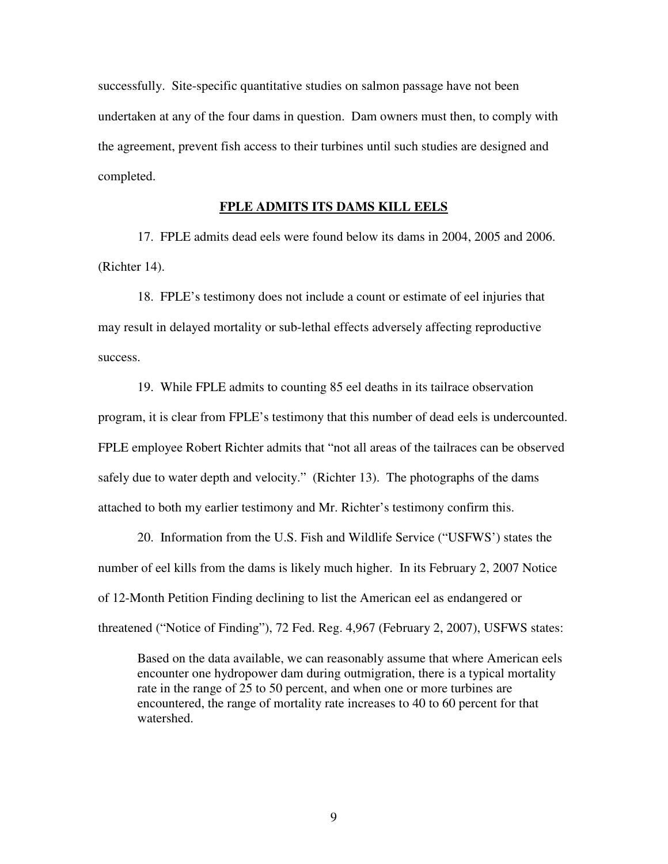successfully. Site-specific quantitative studies on salmon passage have not been undertaken at any of the four dams in question. Dam owners must then, to comply with the agreement, prevent fish access to their turbines until such studies are designed and completed.

#### **FPLE ADMITS ITS DAMS KILL EELS**

 17. FPLE admits dead eels were found below its dams in 2004, 2005 and 2006. (Richter 14).

 18. FPLE's testimony does not include a count or estimate of eel injuries that may result in delayed mortality or sub-lethal effects adversely affecting reproductive success.

 19. While FPLE admits to counting 85 eel deaths in its tailrace observation program, it is clear from FPLE's testimony that this number of dead eels is undercounted. FPLE employee Robert Richter admits that "not all areas of the tailraces can be observed safely due to water depth and velocity." (Richter 13). The photographs of the dams attached to both my earlier testimony and Mr. Richter's testimony confirm this.

 20. Information from the U.S. Fish and Wildlife Service ("USFWS') states the number of eel kills from the dams is likely much higher. In its February 2, 2007 Notice of 12-Month Petition Finding declining to list the American eel as endangered or threatened ("Notice of Finding"), 72 Fed. Reg. 4,967 (February 2, 2007), USFWS states:

Based on the data available, we can reasonably assume that where American eels encounter one hydropower dam during outmigration, there is a typical mortality rate in the range of 25 to 50 percent, and when one or more turbines are encountered, the range of mortality rate increases to 40 to 60 percent for that watershed.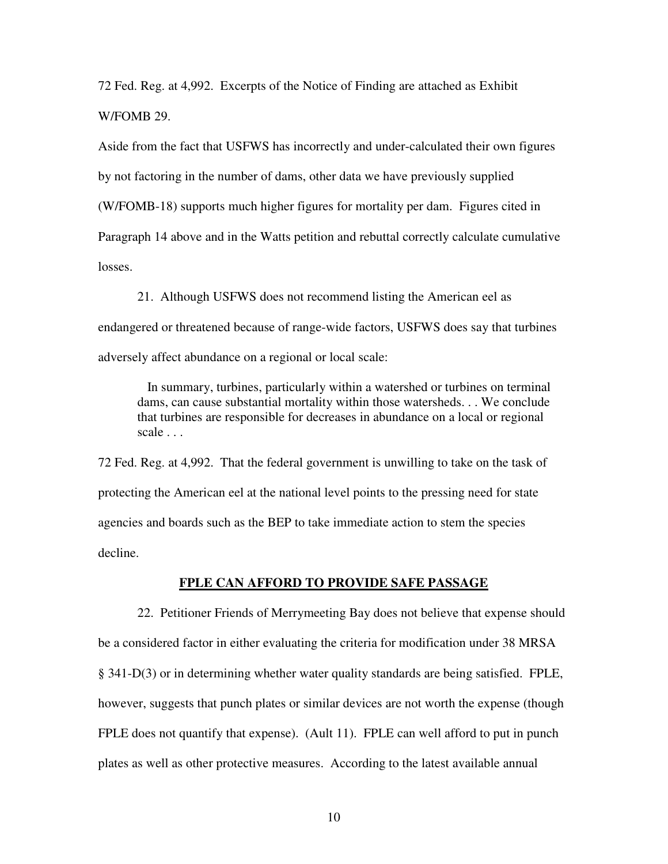72 Fed. Reg. at 4,992. Excerpts of the Notice of Finding are attached as Exhibit W/FOMB 29.

Aside from the fact that USFWS has incorrectly and under-calculated their own figures by not factoring in the number of dams, other data we have previously supplied (W/FOMB-18) supports much higher figures for mortality per dam. Figures cited in Paragraph 14 above and in the Watts petition and rebuttal correctly calculate cumulative losses.

 21. Although USFWS does not recommend listing the American eel as endangered or threatened because of range-wide factors, USFWS does say that turbines adversely affect abundance on a regional or local scale:

 In summary, turbines, particularly within a watershed or turbines on terminal dams, can cause substantial mortality within those watersheds. . . We conclude that turbines are responsible for decreases in abundance on a local or regional scale . . .

72 Fed. Reg. at 4,992. That the federal government is unwilling to take on the task of protecting the American eel at the national level points to the pressing need for state agencies and boards such as the BEP to take immediate action to stem the species decline.

# **FPLE CAN AFFORD TO PROVIDE SAFE PASSAGE**

 22. Petitioner Friends of Merrymeeting Bay does not believe that expense should be a considered factor in either evaluating the criteria for modification under 38 MRSA § 341-D(3) or in determining whether water quality standards are being satisfied. FPLE, however, suggests that punch plates or similar devices are not worth the expense (though FPLE does not quantify that expense). (Ault 11). FPLE can well afford to put in punch plates as well as other protective measures. According to the latest available annual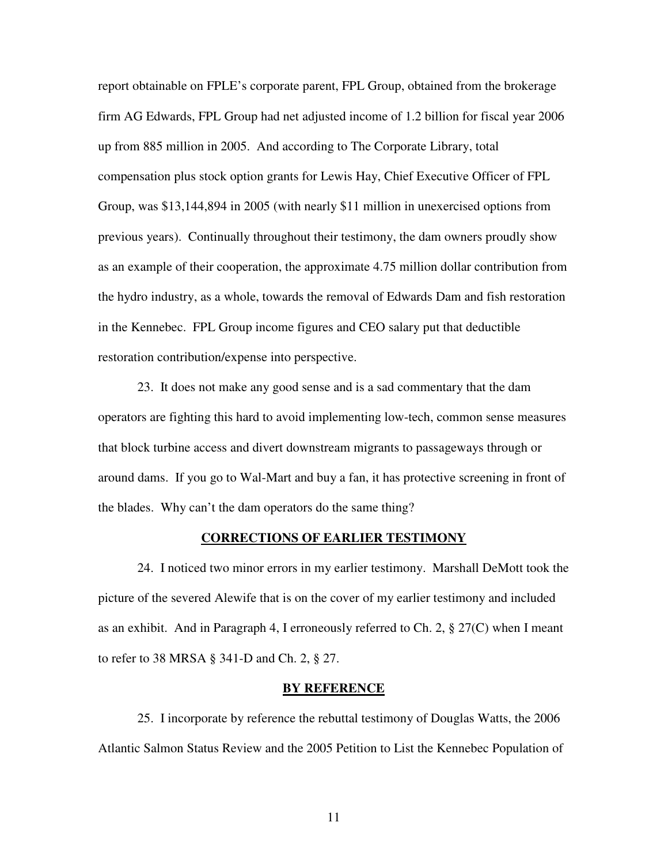report obtainable on FPLE's corporate parent, FPL Group, obtained from the brokerage firm AG Edwards, FPL Group had net adjusted income of 1.2 billion for fiscal year 2006 up from 885 million in 2005. And according to The Corporate Library, total compensation plus stock option grants for Lewis Hay, Chief Executive Officer of FPL Group, was \$13,144,894 in 2005 (with nearly \$11 million in unexercised options from previous years). Continually throughout their testimony, the dam owners proudly show as an example of their cooperation, the approximate 4.75 million dollar contribution from the hydro industry, as a whole, towards the removal of Edwards Dam and fish restoration in the Kennebec. FPL Group income figures and CEO salary put that deductible restoration contribution/expense into perspective.

 23. It does not make any good sense and is a sad commentary that the dam operators are fighting this hard to avoid implementing low-tech, common sense measures that block turbine access and divert downstream migrants to passageways through or around dams. If you go to Wal-Mart and buy a fan, it has protective screening in front of the blades. Why can't the dam operators do the same thing?

#### **CORRECTIONS OF EARLIER TESTIMONY**

 24. I noticed two minor errors in my earlier testimony. Marshall DeMott took the picture of the severed Alewife that is on the cover of my earlier testimony and included as an exhibit. And in Paragraph 4, I erroneously referred to Ch. 2, § 27(C) when I meant to refer to 38 MRSA § 341-D and Ch. 2, § 27.

#### **BY REFERENCE**

25. I incorporate by reference the rebuttal testimony of Douglas Watts, the 2006 Atlantic Salmon Status Review and the 2005 Petition to List the Kennebec Population of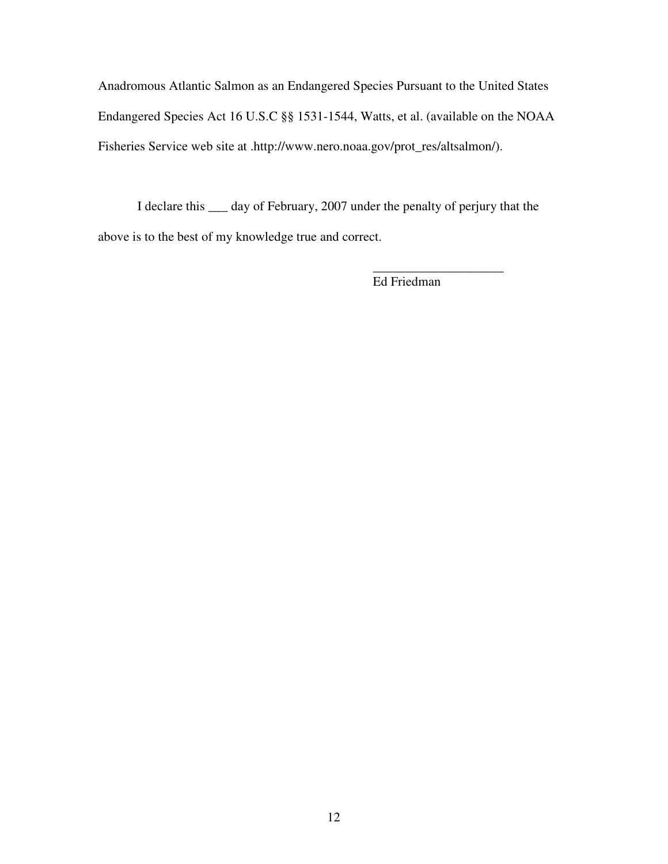Anadromous Atlantic Salmon as an Endangered Species Pursuant to the United States Endangered Species Act 16 U.S.C §§ 1531-1544, Watts, et al. (available on the NOAA Fisheries Service web site at .http://www.nero.noaa.gov/prot\_res/altsalmon/).

 I declare this \_\_\_ day of February, 2007 under the penalty of perjury that the above is to the best of my knowledge true and correct.

\_\_\_\_\_\_\_\_\_\_\_\_\_\_\_\_\_\_\_\_

Ed Friedman